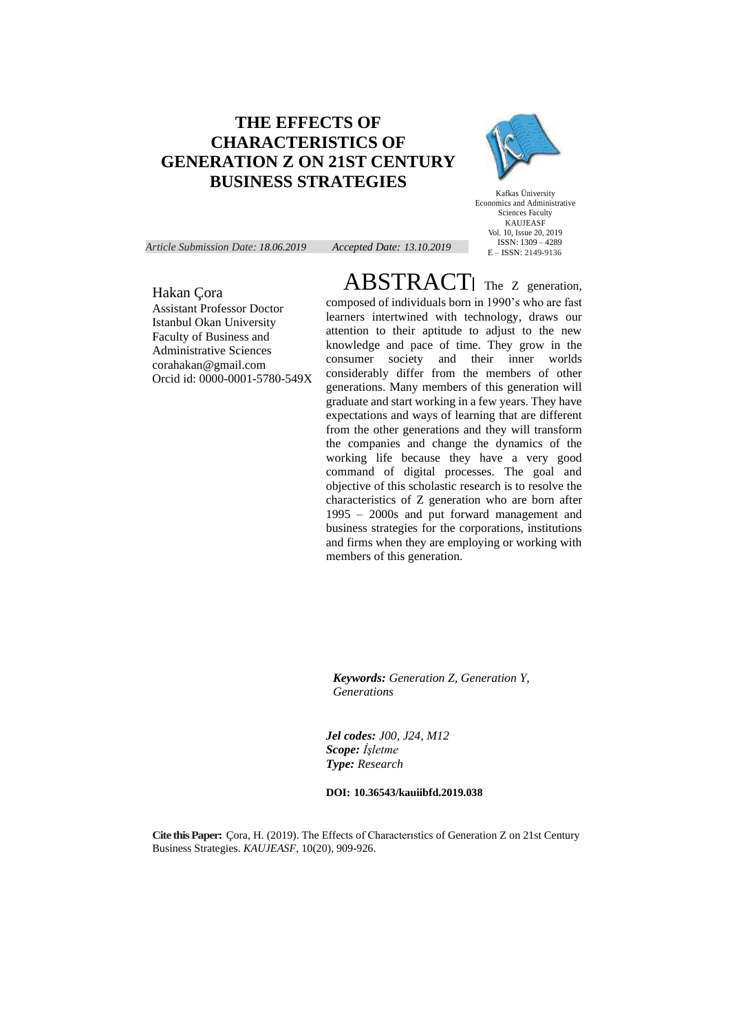# **THE EFFECTS OF CHARACTERISTICS OF GENERATION Z ON 21ST CENTURY BUSINESS STRATEGIES**



Kafkas Üniversity Economics and Administrative Sciences Faculty KAUJEASF Vol. 10, Issue 20, 2019 ISSN: 1309 – 4289 E – ISSN: 2149-9136

*Article Submission Date: 18.06.2019 Accepted Date: 13.10.2019*

ABSTRACT| The Z generation,

Hakan Çora

Assistant Professor Doctor Istanbul Okan University Faculty of Business and Administrative Sciences corahakan@gmail.com Orcid id: 0000-0001-5780-549X composed of individuals born in 1990's who are fast learners intertwined with technology, draws our attention to their aptitude to adjust to the new knowledge and pace of time. They grow in the consumer society and their inner worlds considerably differ from the members of other generations. Many members of this generation will graduate and start working in a few years. They have expectations and ways of learning that are different from the other generations and they will transform the companies and change the dynamics of the working life because they have a very good command of digital processes. The goal and objective of this scholastic research is to resolve the characteristics of Z generation who are born after 1995 – 2000s and put forward management and business strategies for the corporations, institutions and firms when they are employing or working with members of this generation.

*Keywords: Generation Z, Generation Y, Generations*

*Jel codes: J00, J24, M12 Scope: İşletme Type: Research*

#### **DOI: 10.36543/kauiibfd.2019.038**

**Cite this Paper:** Çora, H. (2019). The Effects of Characterıstics of Generation Z on 21st Century Business Strategies. *KAUJEASF,* 10(20), 909-926.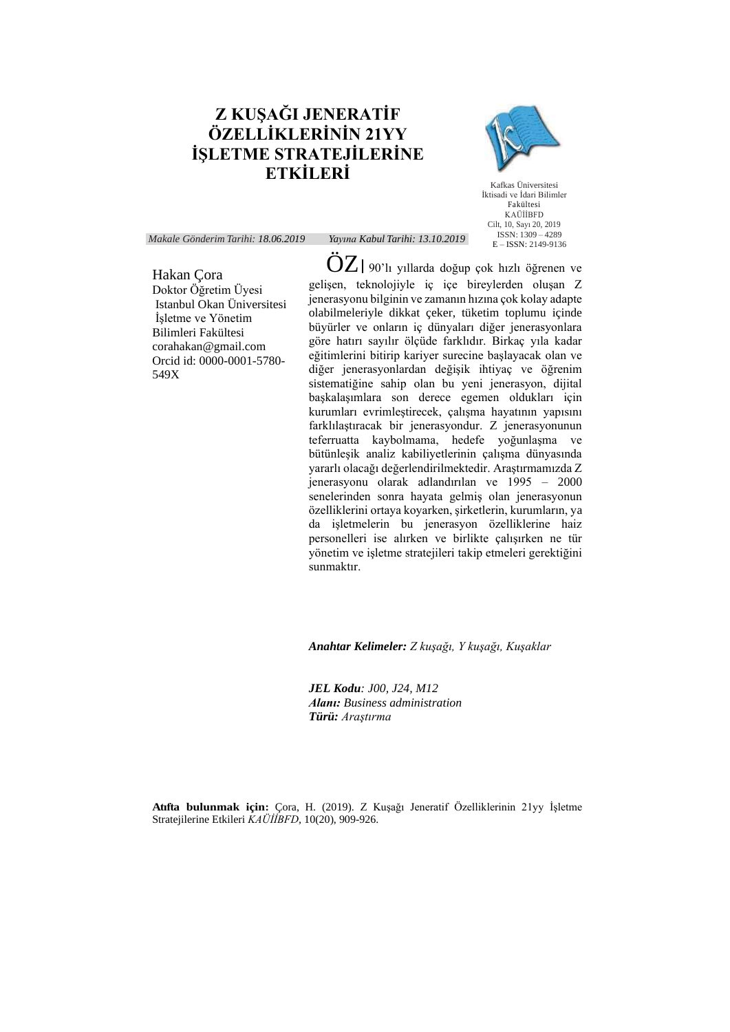# **Z KUŞAĞI JENERATİF ÖZELLİKLERİNİN 21YY İŞLETME STRATEJİLERİNE ETKİLERİ**



Kafkas Üniversitesi İktisadi ve İdari Bilimler Fakültesi KAÜİİBFD Cilt, 10, Sayı 20, 2019 ISSN: 1309 – 4289 E – ISSN: 2149-9136

*Makale Gönderim Tarihi: 18.06.2019 Yayına Kabul Tarihi: 13.10.2019*

Hakan Çora Doktor Öğretim Üyesi Istanbul Okan Üniversitesi İşletme ve Yönetim Bilimleri Fakültesi corahakan@gmail.com Orcid id: 0000-0001-5780- 549X

 $\ddot{\mathrm{O}}Z$  | 90'lı yıllarda doğup çok hızlı öğrenen ve gelişen, teknolojiyle iç içe bireylerden oluşan Z jenerasyonu bilginin ve zamanın hızına çok kolay adapte olabilmeleriyle dikkat çeker, tüketim toplumu içinde büyürler ve onların iç dünyaları diğer jenerasyonlara göre hatırı sayılır ölçüde farklıdır. Birkaç yıla kadar eğitimlerini bitirip kariyer surecine başlayacak olan ve diğer jenerasyonlardan değişik ihtiyaç ve öğrenim sistematiğine sahip olan bu yeni jenerasyon, dijital başkalaşımlara son derece egemen oldukları için kurumları evrimleştirecek, çalışma hayatının yapısını farklılaştıracak bir jenerasyondur. Z jenerasyonunun teferruatta kaybolmama, hedefe yoğunlaşma ve bütünleşik analiz kabiliyetlerinin çalışma dünyasında yararlı olacağı değerlendirilmektedir. Araştırmamızda Z jenerasyonu olarak adlandırılan ve 1995 – 2000 senelerinden sonra hayata gelmiş olan jenerasyonun özelliklerini ortaya koyarken, şirketlerin, kurumların, ya da işletmelerin bu jenerasyon özelliklerine haiz personelleri ise alırken ve birlikte çalışırken ne tür yönetim ve işletme stratejileri takip etmeleri gerektiğini sunmaktır.

*Anahtar Kelimeler: Z kuşağı, Y kuşağı, Kuşaklar*

*JEL Kodu: J00, J24, M12 Alanı: Business administration Türü: Araştırma*

**Atıfta bulunmak için:** Çora, H. (2019). Z Kuşağı Jeneratif Özelliklerinin 21yy İşletme Stratejilerine Etkileri *KAÜİİBFD,* 10(20), 909-926.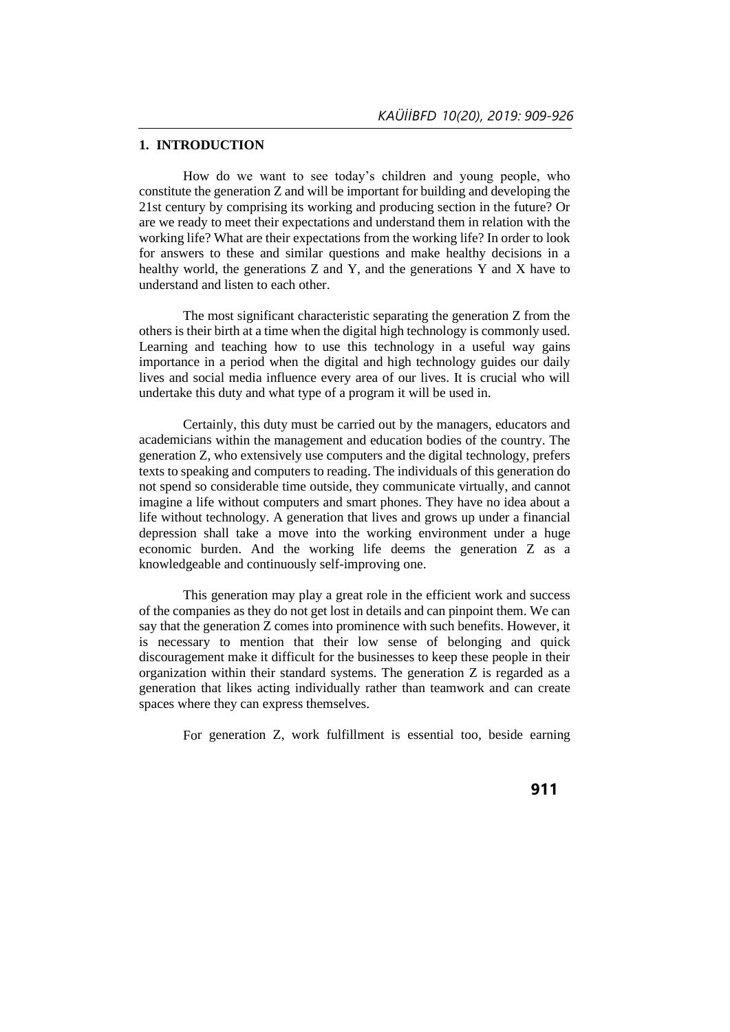#### **1. INTRODUCTION**

How do we want to see today's children and young people, who constitute the generation Z and will be important for building and developing the 21st century by comprising its working and producing section in the future? Or are we ready to meet their expectations and understand them in relation with the working life? What are their expectations from the working life? In order to look for answers to these and similar questions and make healthy decisions in a healthy world, the generations Z and Y, and the generations Y and X have to understand and listen to each other.

The most significant characteristic separating the generation Z from the others is their birth at a time when the digital high technology is commonly used. Learning and teaching how to use this technology in a useful way gains importance in a period when the digital and high technology guides our daily lives and social media influence every area of our lives. It is crucial who will undertake this duty and what type of a program it will be used in.

Certainly, this duty must be carried out by the managers, educators and academicians within the management and education bodies of the country. The generation Z, who extensively use computers and the digital technology, prefers texts to speaking and computers to reading. The individuals of this generation do not spend so considerable time outside, they communicate virtually, and cannot imagine a life without computers and smart phones. They have no idea about a life without technology. A generation that lives and grows up under a financial depression shall take a move into the working environment under a huge economic burden. And the working life deems the generation Z as a knowledgeable and continuously self-improving one.

This generation may play a great role in the efficient work and success of the companies as they do not get lost in details and can pinpoint them. We can say that the generation Z comes into prominence with such benefits. However, it is necessary to mention that their low sense of belonging and quick discouragement make it difficult for the businesses to keep these people in their organization within their standard systems. The generation Z is regarded as a generation that likes acting individually rather than teamwork and can create spaces where they can express themselves.

For generation Z, work fulfillment is essential too, beside earning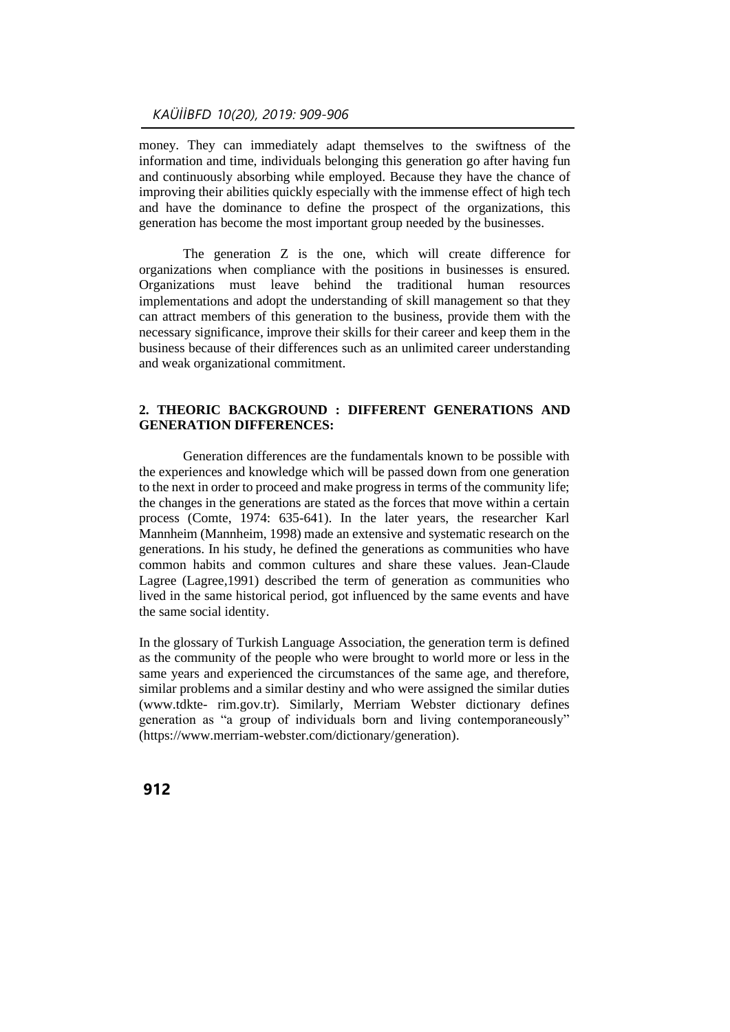money. They can immediately adapt themselves to the swiftness of the information and time, individuals belonging this generation go after having fun and continuously absorbing while employed. Because they have the chance of improving their abilities quickly especially with the immense effect of high tech and have the dominance to define the prospect of the organizations, this generation has become the most important group needed by the businesses.

The generation Z is the one, which will create difference for organizations when compliance with the positions in businesses is ensured. Organizations must leave behind the traditional human resources implementations and adopt the understanding of skill management so that they can attract members of this generation to the business, provide them with the necessary significance, improve their skills for their career and keep them in the business because of their differences such as an unlimited career understanding and weak organizational commitment.

#### **2. THEORIC BACKGROUND : DIFFERENT GENERATIONS AND GENERATION DIFFERENCES:**

Generation differences are the fundamentals known to be possible with the experiences and knowledge which will be passed down from one generation to the next in order to proceed and make progress in terms of the community life; the changes in the generations are stated as the forces that move within a certain process (Comte, 1974: 635-641). In the later years, the researcher Karl Mannheim (Mannheim, 1998) made an extensive and systematic research on the generations. In his study, he defined the generations as communities who have common habits and common cultures and share these values. Jean-Claude Lagree (Lagree,1991) described the term of generation as communities who lived in the same historical period, got influenced by the same events and have the same social identity.

In the glossary of Turkish Language Association, the generation term is defined as the community of the people who were brought to world more or less in the same years and experienced the circumstances of the same age, and therefore, similar problems and a similar destiny and who were assigned the similar duties (www.tdkte- rim.gov.tr). Similarly, Merriam Webster dictionary defines generation as "a group of individuals born and living contemporaneously" [\(https://www.merriam-webster.com/dictionary/generation\)](https://www.merriam-webster.com/dictionary/generation).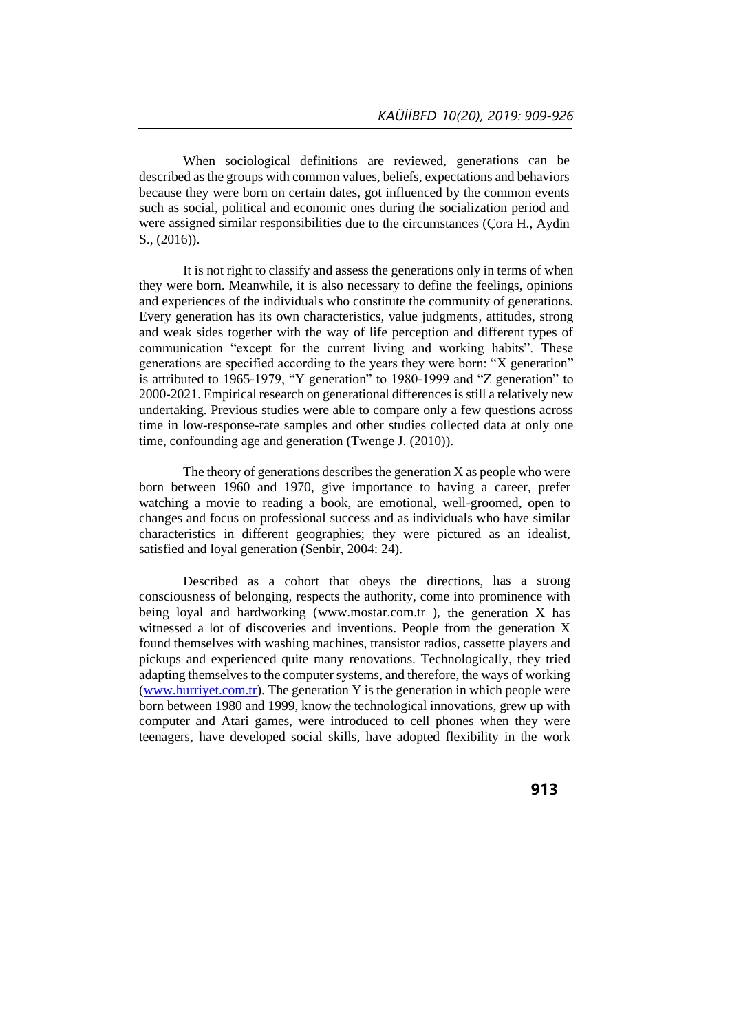When sociological definitions are reviewed, generations can be described as the groups with common values, beliefs, expectations and behaviors because they were born on certain dates, got influenced by the common events such as social, political and economic ones during the socialization period and were assigned similar responsibilities due to the circumstances (Çora H., Aydin S., (2016)).

It is not right to classify and assess the generations only in terms of when they were born. Meanwhile, it is also necessary to define the feelings, opinions and experiences of the individuals who constitute the community of generations. Every generation has its own characteristics, value judgments, attitudes, strong and weak sides together with the way of life perception and different types of communication "except for the current living and working habits". These generations are specified according to the years they were born: "X generation" is attributed to 1965-1979, "Y generation" to 1980-1999 and "Z generation" to 2000-2021. Empirical research on generational differences is still a relatively new undertaking. Previous studies were able to compare only a few questions across time in low-response-rate samples and other studies collected data at only one time, confounding age and generation (Twenge J. (2010)).

The theory of generations describes the generation  $X$  as people who were born between 1960 and 1970, give importance to having a career, prefer watching a movie to reading a book, are emotional, well-groomed, open to changes and focus on professional success and as individuals who have similar characteristics in different geographies; they were pictured as an idealist, satisfied and loyal generation (Senbir, 2004: 24).

Described as a cohort that obeys the directions, has a strong consciousness of belonging, respects the authority, come into prominence with being loyal and hardworking [\(www.mostar.com.tr \)](http://www.mostar.com.tr/), the generation X has witnessed a lot of discoveries and inventions. People from the generation X found themselves with washing machines, transistor radios, cassette players and pickups and experienced quite many renovations. Technologically, they tried adapting themselves to the computer systems, and therefore, the ways of working [\(www.hurriyet.com.tr\)](http://www.hurriyet.com.tr/). The generation Y is the generation in which people were born between 1980 and 1999, know the technological innovations, grew up with computer and Atari games, were introduced to cell phones when they were teenagers, have developed social skills, have adopted flexibility in the work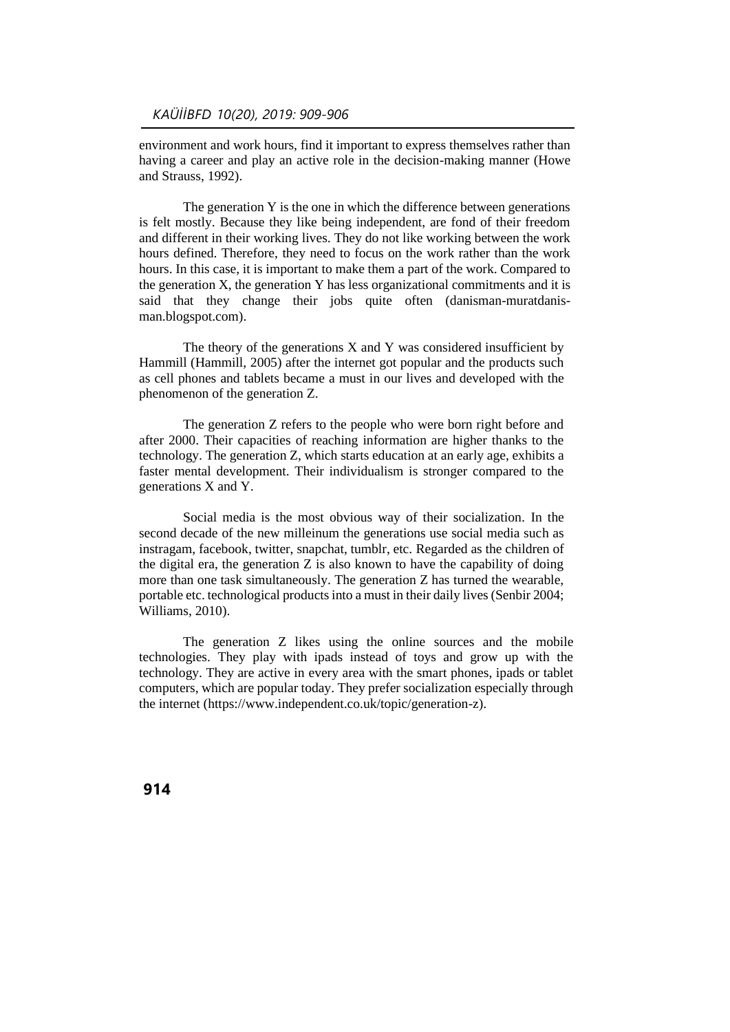environment and work hours, find it important to express themselves rather than having a career and play an active role in the decision-making manner (Howe and Strauss, 1992).

The generation Y is the one in which the difference between generations is felt mostly. Because they like being independent, are fond of their freedom and different in their working lives. They do not like working between the work hours defined. Therefore, they need to focus on the work rather than the work hours. In this case, it is important to make them a part of the work. Compared to the generation X, the generation Y has less organizational commitments and it is said that they change their jobs quite often (danisman-muratdanisman.blogspot.com).

The theory of the generations  $X$  and  $Y$  was considered insufficient by Hammill (Hammill, 2005) after the internet got popular and the products such as cell phones and tablets became a must in our lives and developed with the phenomenon of the generation Z.

The generation Z refers to the people who were born right before and after 2000. Their capacities of reaching information are higher thanks to the technology. The generation Z, which starts education at an early age, exhibits a faster mental development. Their individualism is stronger compared to the generations X and Y.

Social media is the most obvious way of their socialization. In the second decade of the new milleinum the generations use social media such as instragam, facebook, twitter, snapchat, tumblr, etc. Regarded as the children of the digital era, the generation  $Z$  is also known to have the capability of doing more than one task simultaneously. The generation Z has turned the wearable, portable etc. technological products into a must in their daily lives (Senbir 2004; Williams, 2010).

The generation Z likes using the online sources and the mobile technologies. They play with ipads instead of toys and grow up with the technology. They are active in every area with the smart phones, ipads or tablet computers, which are popular today. They prefer socialization especially through the internet [\(https://www.independent.co.uk/topic/generation-z\)](https://www.independent.co.uk/topic/generation-z).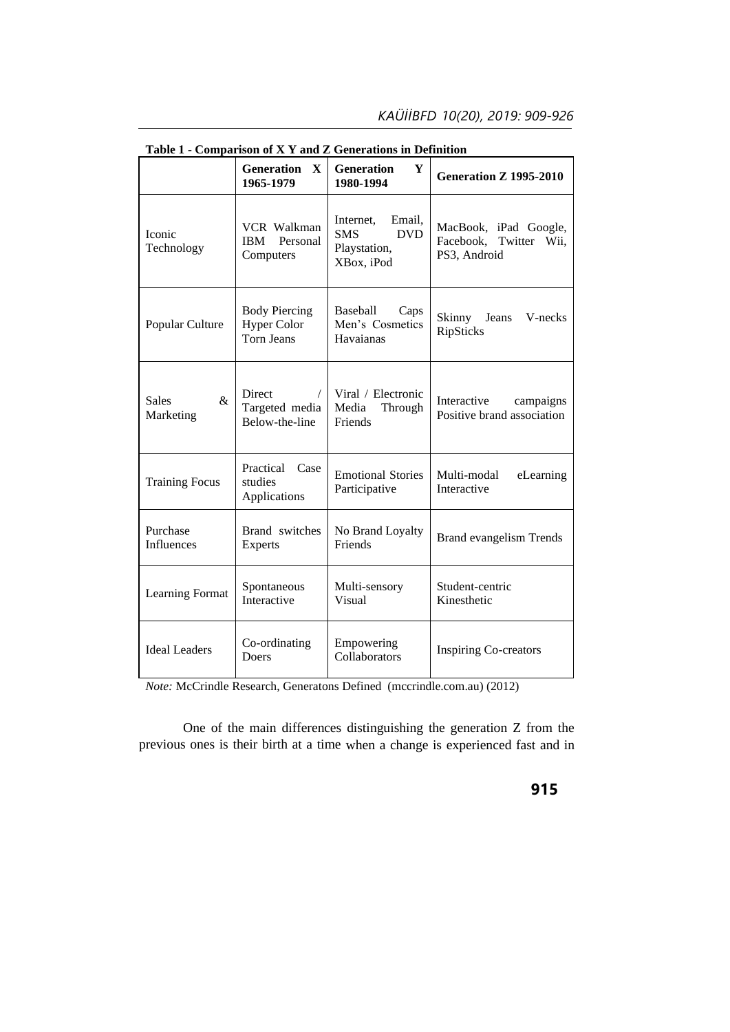|                                   | Generation<br>$\mathbf{X}$<br>1965-1979                         | <b>Table 1 • Comparison of A 1 and Z Generations in Definition</b><br>Y<br><b>Generation</b><br>1980-1994 | <b>Generation Z 1995-2010</b>                                   |  |
|-----------------------------------|-----------------------------------------------------------------|-----------------------------------------------------------------------------------------------------------|-----------------------------------------------------------------|--|
| Iconic<br>Technology              | <b>VCR</b> Walkman<br>Personal<br><b>IBM</b><br>Computers       | Email,<br>Internet,<br><b>SMS</b><br><b>DVD</b><br>Playstation,<br>XBox, iPod                             | MacBook, iPad Google,<br>Facebook, Twitter Wii,<br>PS3, Android |  |
| Popular Culture                   | <b>Body Piercing</b><br><b>Hyper Color</b><br><b>Torn Jeans</b> | Baseball<br>Caps<br>Men's Cosmetics<br>Havaianas                                                          | Jeans<br>Skinny<br>V-necks<br>RipSticks                         |  |
| $\&$<br><b>Sales</b><br>Marketing | <b>Direct</b><br>$\sqrt{2}$<br>Targeted media<br>Below-the-line | Viral / Electronic<br>Media<br>Through<br>Friends                                                         | Interactive<br>campaigns<br>Positive brand association          |  |
| <b>Training Focus</b>             | Practical<br>Case<br>studies<br>Applications                    | <b>Emotional Stories</b><br>Participative                                                                 | Multi-modal<br>eLearning<br>Interactive                         |  |
| Purchase<br>Influences            | Brand switches<br><b>Experts</b>                                | No Brand Loyalty<br>Friends                                                                               | <b>Brand evangelism Trends</b>                                  |  |
| Learning Format                   | Spontaneous<br>Interactive                                      | Multi-sensory<br>Visual                                                                                   | Student-centric<br>Kinesthetic                                  |  |
| <b>Ideal Leaders</b>              | Co-ordinating<br>Doers                                          | Empowering<br><b>Inspiring Co-creators</b><br>Collaborators                                               |                                                                 |  |

**Table 1 - Comparison of X Y and Z Generations in Definition**

*Note:* McCrindle Research, Generatons Defined (mccrindle.com.au) (2012)

One of the main differences distinguishing the generation Z from the previous ones is their birth at a time when a change is experienced fast and in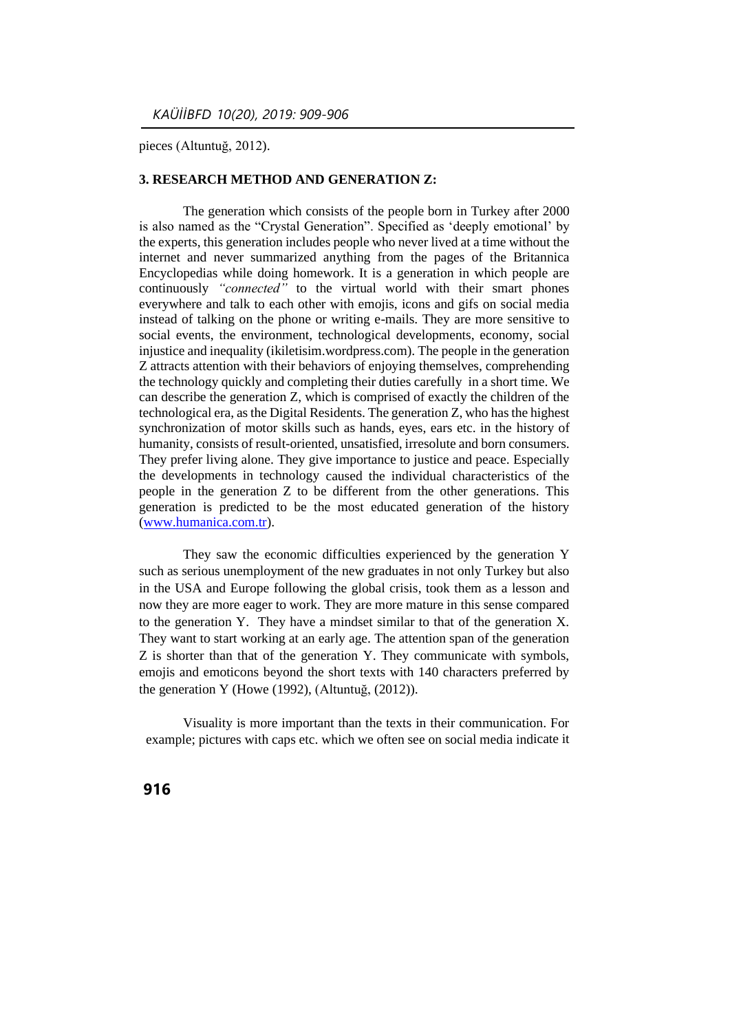pieces (Altuntuğ, 2012).

#### **3. RESEARCH METHOD AND GENERATION Z:**

The generation which consists of the people born in Turkey after 2000 is also named as the "Crystal Generation". Specified as 'deeply emotional' by the experts, this generation includes people who never lived at a time without the internet and never summarized anything from the pages of the Britannica Encyclopedias while doing homework. It is a generation in which people are continuously *"connected"* to the virtual world with their smart phones everywhere and talk to each other with emojis, icons and gifs on social media instead of talking on the phone or writing e-mails. They are more sensitive to social events, the environment, technological developments, economy, social injustice and inequality (ikiletisim.wordpress.com). The people in the generation Z attracts attention with their behaviors of enjoying themselves, comprehending the technology quickly and completing their duties carefully in a short time. We can describe the generation Z, which is comprised of exactly the children of the technological era, as the Digital Residents. The generation Z, who has the highest synchronization of motor skills such as hands, eyes, ears etc. in the history of humanity, consists of result-oriented, unsatisfied, irresolute and born consumers. They prefer living alone. They give importance to justice and peace. Especially the developments in technology caused the individual characteristics of the people in the generation Z to be different from the other generations. This generation is predicted to be the most educated generation of the history [\(www.humanica.com.tr\)](http://www.humanica.com.tr/).

They saw the economic difficulties experienced by the generation Y such as serious unemployment of the new graduates in not only Turkey but also in the USA and Europe following the global crisis, took them as a lesson and now they are more eager to work. They are more mature in this sense compared to the generation Y. They have a mindset similar to that of the generation X. They want to start working at an early age. The attention span of the generation Z is shorter than that of the generation Y. They communicate with symbols, emojis and emoticons beyond the short texts with 140 characters preferred by the generation Y (Howe (1992), (Altuntuğ, (2012)).

Visuality is more important than the texts in their communication. For example; pictures with caps etc. which we often see on social media indicate it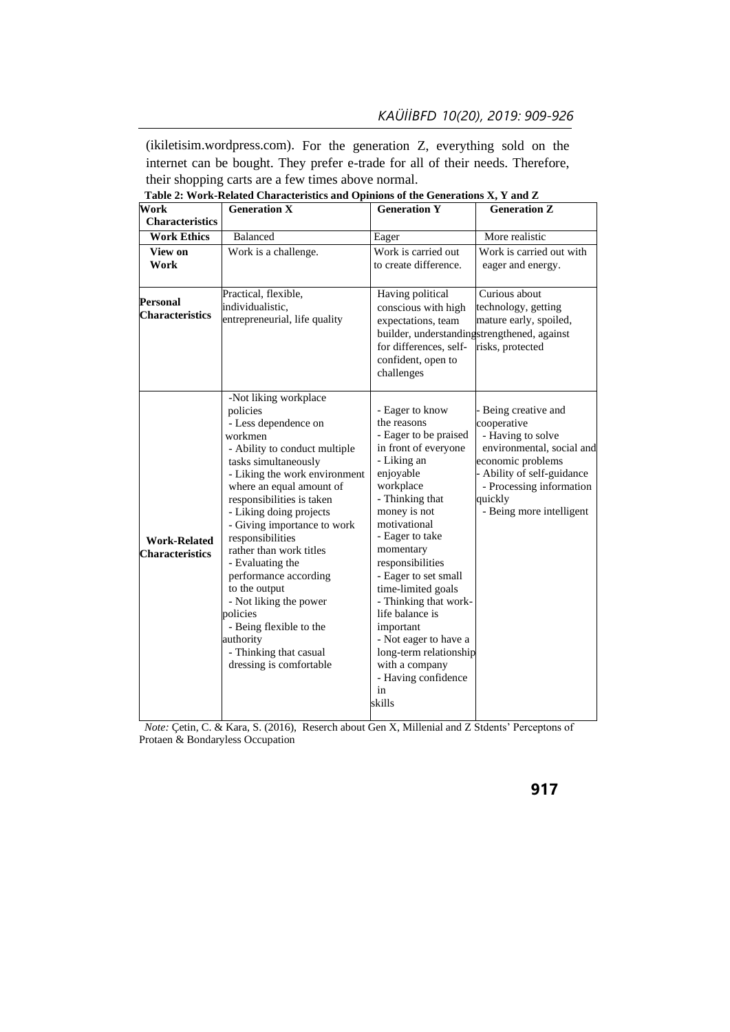(ikiletisim.wordpress.com). For the generation Z, everything sold on the internet can be bought. They prefer e-trade for all of their needs. Therefore, their shopping carts are a few times above normal.

| Work                                          | <b>Generation X</b>                                                                                                                                                                                                                                                                                                                                                                                                                                                                                                               | <b>Generation Y</b>                                                                                                                                                                                                                                                                                                                                                                                                                                | <b>Generation Z</b>                                                                                                                                                                                     |
|-----------------------------------------------|-----------------------------------------------------------------------------------------------------------------------------------------------------------------------------------------------------------------------------------------------------------------------------------------------------------------------------------------------------------------------------------------------------------------------------------------------------------------------------------------------------------------------------------|----------------------------------------------------------------------------------------------------------------------------------------------------------------------------------------------------------------------------------------------------------------------------------------------------------------------------------------------------------------------------------------------------------------------------------------------------|---------------------------------------------------------------------------------------------------------------------------------------------------------------------------------------------------------|
| <b>Characteristics</b>                        |                                                                                                                                                                                                                                                                                                                                                                                                                                                                                                                                   |                                                                                                                                                                                                                                                                                                                                                                                                                                                    |                                                                                                                                                                                                         |
| <b>Work Ethics</b>                            | <b>Balanced</b>                                                                                                                                                                                                                                                                                                                                                                                                                                                                                                                   | Eager                                                                                                                                                                                                                                                                                                                                                                                                                                              | More realistic                                                                                                                                                                                          |
| View on                                       | Work is a challenge.                                                                                                                                                                                                                                                                                                                                                                                                                                                                                                              | Work is carried out                                                                                                                                                                                                                                                                                                                                                                                                                                | Work is carried out with                                                                                                                                                                                |
| Work                                          |                                                                                                                                                                                                                                                                                                                                                                                                                                                                                                                                   | to create difference.                                                                                                                                                                                                                                                                                                                                                                                                                              | eager and energy.                                                                                                                                                                                       |
| Personal<br><b>Characteristics</b>            | Practical, flexible,<br>individualistic,<br>entrepreneurial, life quality                                                                                                                                                                                                                                                                                                                                                                                                                                                         | Having political<br>conscious with high<br>expectations, team<br>builder, understandingstrengthened, against<br>for differences, self-<br>confident, open to<br>challenges                                                                                                                                                                                                                                                                         | Curious about<br>technology, getting<br>mature early, spoiled,<br>risks, protected                                                                                                                      |
| <b>Work-Related</b><br><b>Characteristics</b> | -Not liking workplace<br>policies<br>- Less dependence on<br>workmen<br>- Ability to conduct multiple<br>tasks simultaneously<br>- Liking the work environment<br>where an equal amount of<br>responsibilities is taken<br>- Liking doing projects<br>- Giving importance to work<br>responsibilities<br>rather than work titles<br>- Evaluating the<br>performance according<br>to the output<br>- Not liking the power<br>policies<br>- Being flexible to the<br>authority<br>- Thinking that casual<br>dressing is comfortable | - Eager to know<br>the reasons<br>- Eager to be praised<br>in front of everyone<br>- Liking an<br>enjoyable<br>workplace<br>- Thinking that<br>money is not<br>motivational<br>- Eager to take<br>momentary<br>responsibilities<br>- Eager to set small<br>time-limited goals<br>- Thinking that work-<br>life balance is<br>important<br>- Not eager to have a<br>long-term relationship<br>with a company<br>- Having confidence<br>in<br>skills | Being creative and<br>cooperative<br>- Having to solve<br>environmental, social and<br>economic problems<br>Ability of self-guidance<br>- Processing information<br>quickly<br>- Being more intelligent |

**Table 2: Work-Related Characteristics and Opinions of the Generations X, Y and Z**

*Note:* Çetin, C. & Kara, S. (2016), Reserch about Gen X, Millenial and Z Stdents' Perceptons of Protaen & Bondaryless Occupation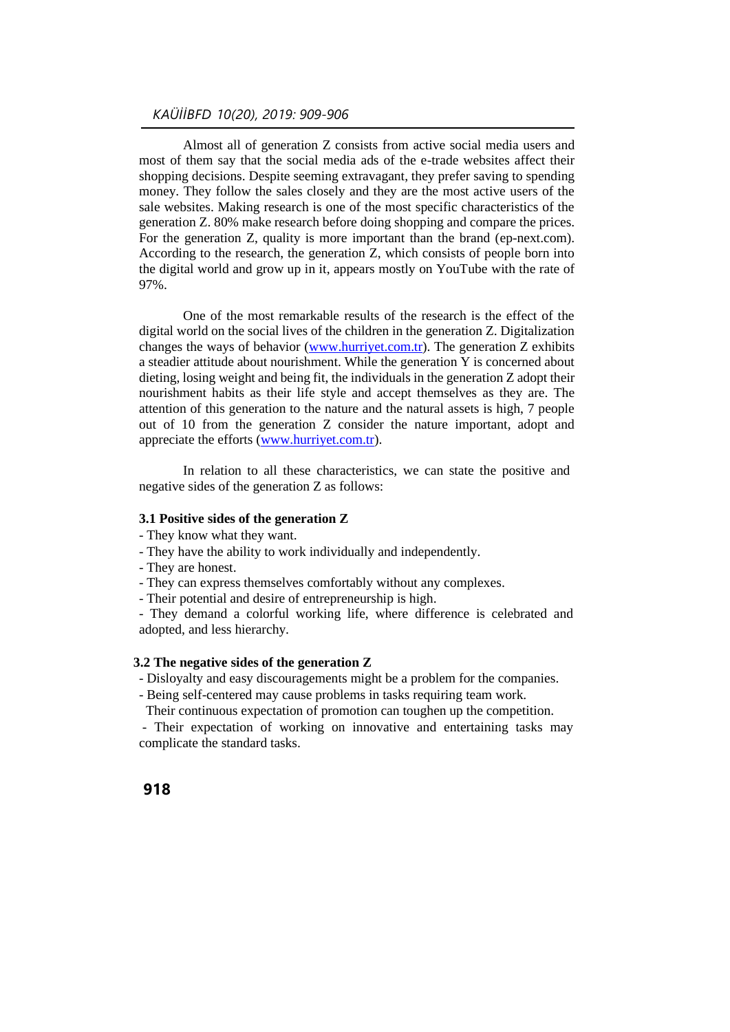Almost all of generation Z consists from active social media users and most of them say that the social media ads of the e-trade websites affect their shopping decisions. Despite seeming extravagant, they prefer saving to spending money. They follow the sales closely and they are the most active users of the sale websites. Making research is one of the most specific characteristics of the generation Z. 80% make research before doing shopping and compare the prices. For the generation Z, quality is more important than the brand (ep-next.com). According to the research, the generation Z, which consists of people born into the digital world and grow up in it, appears mostly on YouTube with the rate of 97%.

One of the most remarkable results of the research is the effect of the digital world on the social lives of the children in the generation Z. Digitalization changes the ways of behavior [\(www.hurriyet.com.tr\)](http://www.hurriyet.com.tr/). The generation Z exhibits a steadier attitude about nourishment. While the generation Y is concerned about dieting, losing weight and being fit, the individuals in the generation Z adopt their nourishment habits as their life style and accept themselves as they are. The attention of this generation to the nature and the natural assets is high, 7 people out of 10 from the generation Z consider the nature important, adopt and appreciate the efforts [\(www.hurriyet.com.tr\)](http://www.hurriyet.com.tr/).

In relation to all these characteristics, we can state the positive and negative sides of the generation Z as follows:

#### **3.1 Positive sides of the generation Z**

- They know what they want.
- They have the ability to work individually and independently.
- They are honest.
- They can express themselves comfortably without any complexes.
- Their potential and desire of entrepreneurship is high.

- They demand a colorful working life, where difference is celebrated and adopted, and less hierarchy*.*

#### **3.2 The negative sides of the generation Z**

- Disloyalty and easy discouragements might be a problem for the companies.
- Being self-centered may cause problems in tasks requiring team work.
	- Their continuous expectation of promotion can toughen up the competition.

- Their expectation of working on innovative and entertaining tasks may complicate the standard tasks.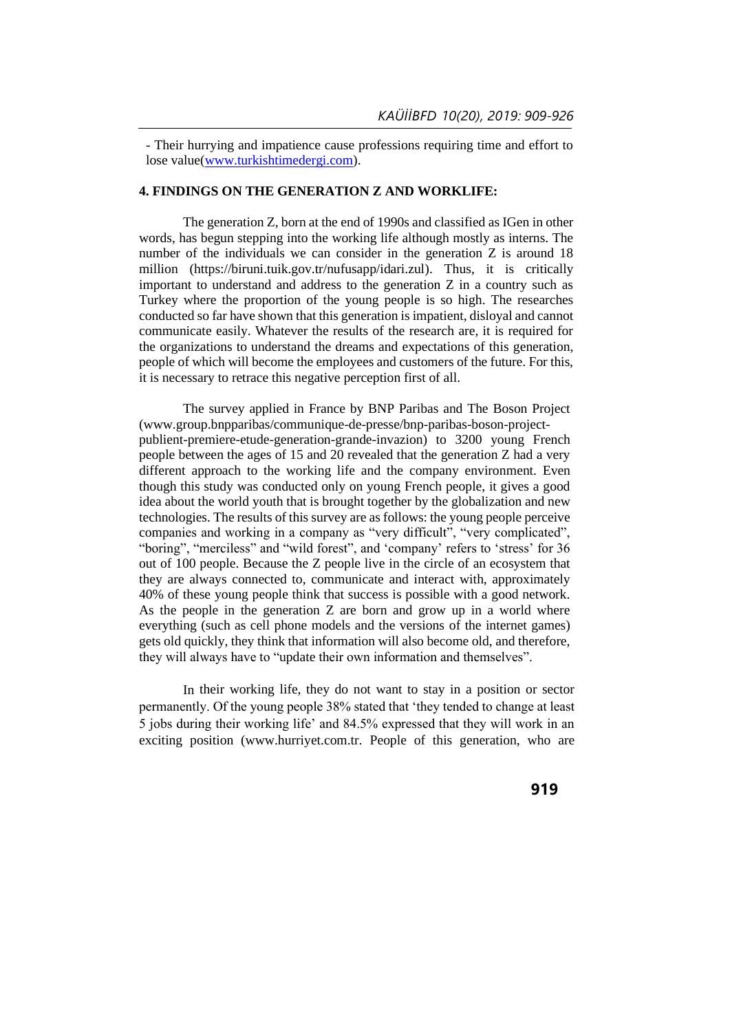- Their hurrying and impatience cause professions requiring time and effort to lose value[\(www.turkishtimedergi.com\)](http://www.turkishtimedergi.com/).

### **4. FINDINGS ON THE GENERATION Z AND WORKLIFE:**

The generation Z, born at the end of 1990s and classified as IGen in other words, has begun stepping into the working life although mostly as interns. The number of the individuals we can consider in the generation Z is around 18 million [\(https://biruni.tuik.gov.tr/nufusapp/idari.zul\)](https://biruni.tuik.gov.tr/nufusapp/idari.zul). Thus, it is critically important to understand and address to the generation Z in a country such as Turkey where the proportion of the young people is so high. The researches conducted so far have shown that this generation is impatient, disloyal and cannot communicate easily. Whatever the results of the research are, it is required for the organizations to understand the dreams and expectations of this generation, people of which will become the employees and customers of the future. For this, it is necessary to retrace this negative perception first of all.

The survey applied in France by BNP Paribas and The Boson Project (www.group.bnpparibas/communique-de-presse/bnp-paribas-boson-projectpublient-premiere-etude-generation-grande-invazion) to 3200 young French people between the ages of 15 and 20 revealed that the generation Z had a very different approach to the working life and the company environment. Even though this study was conducted only on young French people, it gives a good idea about the world youth that is brought together by the globalization and new technologies. The results of this survey are as follows: the young people perceive companies and working in a company as "very difficult", "very complicated", "boring", "merciless" and "wild forest", and 'company' refers to 'stress' for 36 out of 100 people. Because the Z people live in the circle of an ecosystem that they are always connected to, communicate and interact with, approximately 40% of these young people think that success is possible with a good network. As the people in the generation Z are born and grow up in a world where everything (such as cell phone models and the versions of the internet games) gets old quickly, they think that information will also become old, and therefore, they will always have to "update their own information and themselves".

In their working life, they do not want to stay in a position or sector permanently. Of the young people 38% stated that 'they tended to change at least 5 jobs during their working life' and 84.5% expressed that they will work in an exciting position (www.hurriyet.com.tr. People of this generation, who are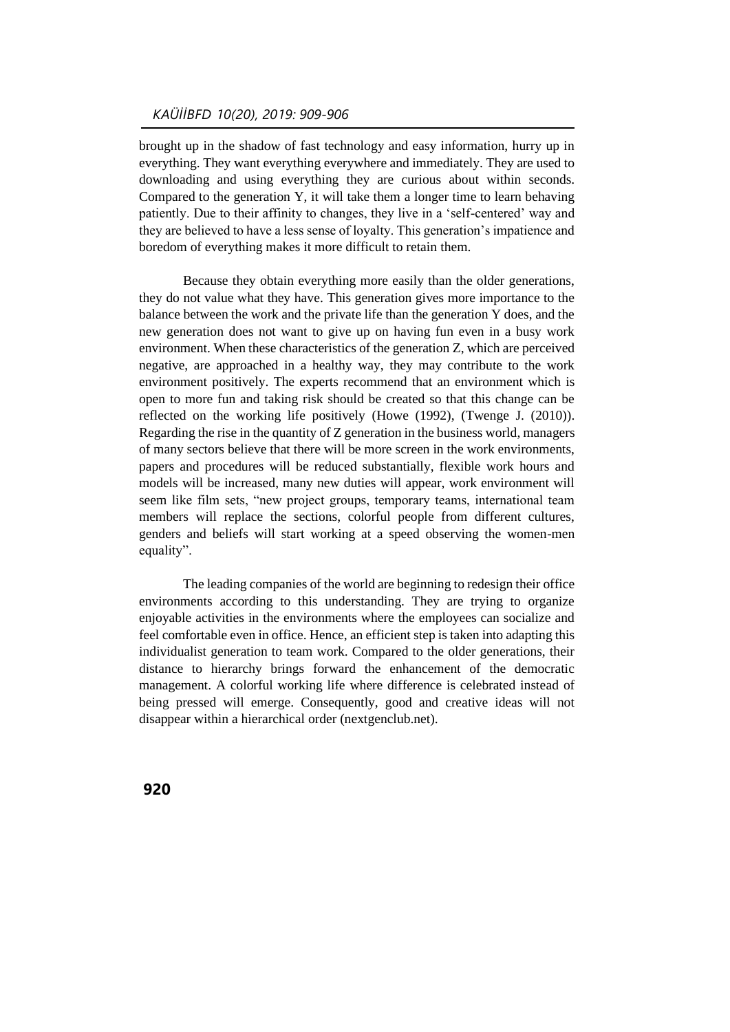## *KAÜİİBFD 10(20), 2019: 909-906*

brought up in the shadow of fast technology and easy information, hurry up in everything. They want everything everywhere and immediately. They are used to downloading and using everything they are curious about within seconds. Compared to the generation Y, it will take them a longer time to learn behaving patiently. Due to their affinity to changes, they live in a 'self-centered' way and they are believed to have a less sense of loyalty. This generation's impatience and boredom of everything makes it more difficult to retain them.

Because they obtain everything more easily than the older generations, they do not value what they have. This generation gives more importance to the balance between the work and the private life than the generation Y does, and the new generation does not want to give up on having fun even in a busy work environment. When these characteristics of the generation Z, which are perceived negative, are approached in a healthy way, they may contribute to the work environment positively. The experts recommend that an environment which is open to more fun and taking risk should be created so that this change can be reflected on the working life positively (Howe (1992), (Twenge J. (2010)). Regarding the rise in the quantity of Z generation in the business world, managers of many sectors believe that there will be more screen in the work environments, papers and procedures will be reduced substantially, flexible work hours and models will be increased, many new duties will appear, work environment will seem like film sets, "new project groups, temporary teams, international team members will replace the sections, colorful people from different cultures, genders and beliefs will start working at a speed observing the women-men equality".

The leading companies of the world are beginning to redesign their office environments according to this understanding. They are trying to organize enjoyable activities in the environments where the employees can socialize and feel comfortable even in office. Hence, an efficient step is taken into adapting this individualist generation to team work. Compared to the older generations, their distance to hierarchy brings forward the enhancement of the democratic management. A colorful working life where difference is celebrated instead of being pressed will emerge. Consequently, good and creative ideas will not disappear within a hierarchical order (nextgenclub.net).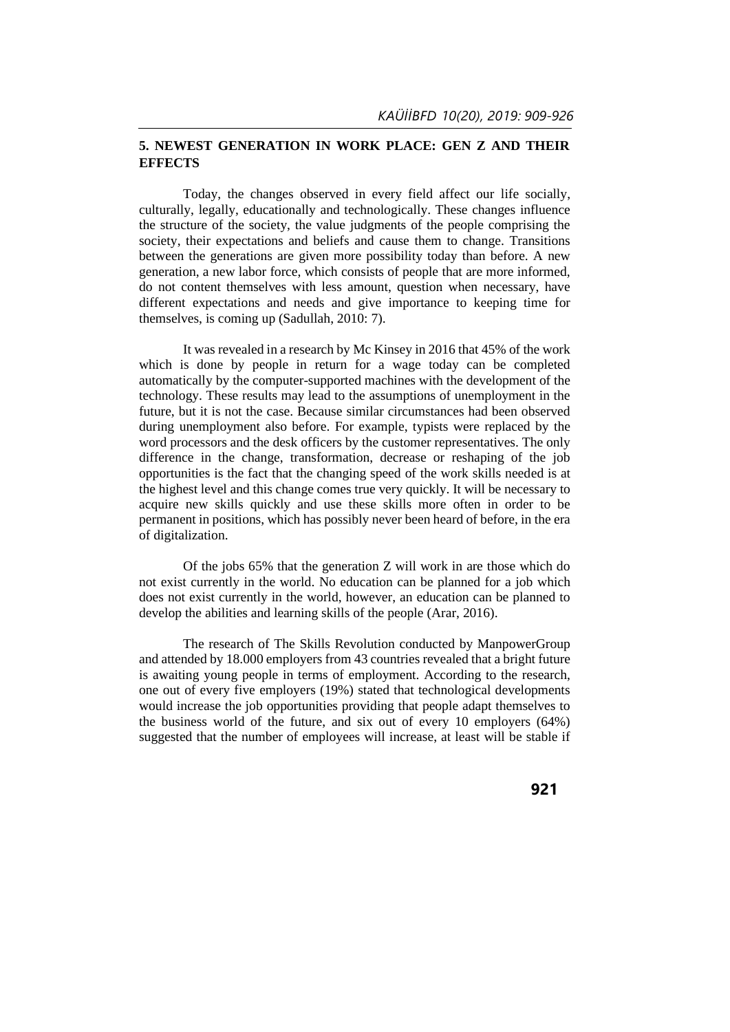### **5. NEWEST GENERATION IN WORK PLACE: GEN Z AND THEIR EFFECTS**

Today, the changes observed in every field affect our life socially, culturally, legally, educationally and technologically. These changes influence the structure of the society, the value judgments of the people comprising the society, their expectations and beliefs and cause them to change. Transitions between the generations are given more possibility today than before. A new generation, a new labor force, which consists of people that are more informed, do not content themselves with less amount, question when necessary, have different expectations and needs and give importance to keeping time for themselves, is coming up (Sadullah, 2010: 7).

It was revealed in a research by Mc Kinsey in 2016 that 45% of the work which is done by people in return for a wage today can be completed automatically by the computer-supported machines with the development of the technology. These results may lead to the assumptions of unemployment in the future, but it is not the case. Because similar circumstances had been observed during unemployment also before. For example, typists were replaced by the word processors and the desk officers by the customer representatives. The only difference in the change, transformation, decrease or reshaping of the job opportunities is the fact that the changing speed of the work skills needed is at the highest level and this change comes true very quickly. It will be necessary to acquire new skills quickly and use these skills more often in order to be permanent in positions, which has possibly never been heard of before, in the era of digitalization.

Of the jobs 65% that the generation Z will work in are those which do not exist currently in the world. No education can be planned for a job which does not exist currently in the world, however, an education can be planned to develop the abilities and learning skills of the people (Arar, 2016).

The research of The Skills Revolution conducted by ManpowerGroup and attended by 18.000 employers from 43 countries revealed that a bright future is awaiting young people in terms of employment. According to the research, one out of every five employers (19%) stated that technological developments would increase the job opportunities providing that people adapt themselves to the business world of the future, and six out of every 10 employers (64%) suggested that the number of employees will increase, at least will be stable if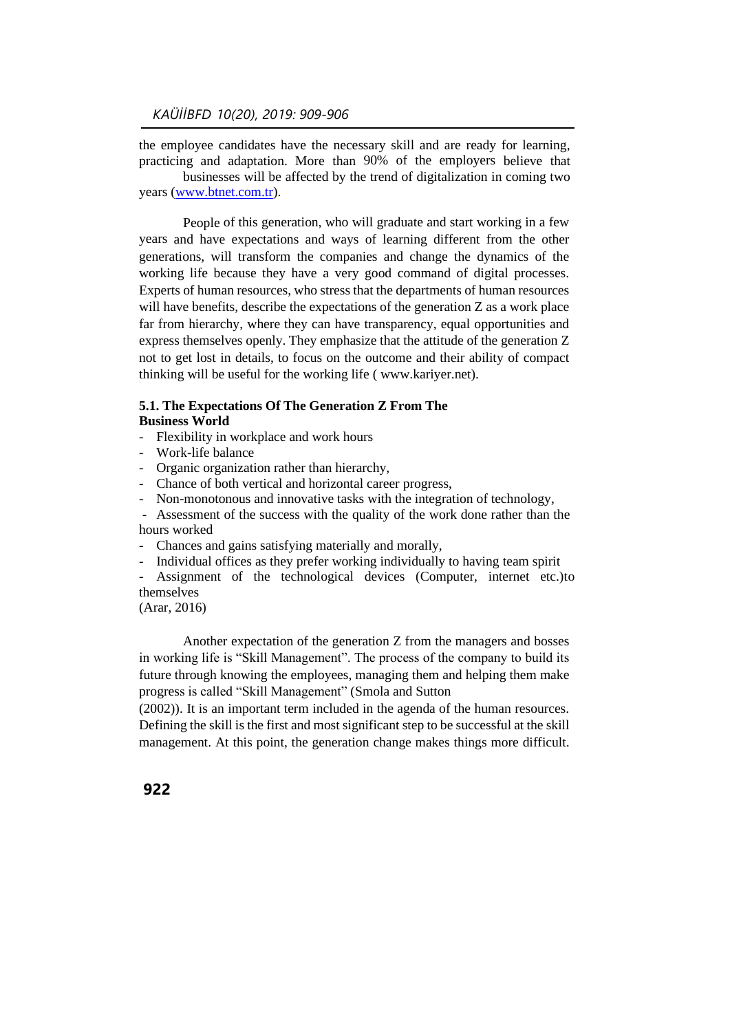the employee candidates have the necessary skill and are ready for learning, practicing and adaptation. More than 90% of the employers believe that businesses will be affected by the trend of digitalization in coming two

years [\(www.btnet.com.tr\)](http://www.btnet.com.tr/).

People of this generation, who will graduate and start working in a few years and have expectations and ways of learning different from the other generations, will transform the companies and change the dynamics of the working life because they have a very good command of digital processes. Experts of human resources, who stress that the departments of human resources will have benefits, describe the expectations of the generation Z as a work place far from hierarchy, where they can have transparency, equal opportunities and express themselves openly. They emphasize that the attitude of the generation Z not to get lost in details, to focus on the outcome and their ability of compact thinking will be useful for the working life ( www.kariyer.net).

#### **5.1. The Expectations Of The Generation Z From The Business World**

- Flexibility in workplace and work hours
- Work-life balance
- Organic organization rather than hierarchy,
- Chance of both vertical and horizontal career progress,
- Non-monotonous and innovative tasks with the integration of technology,

- Assessment of the success with the quality of the work done rather than the hours worked

- Chances and gains satisfying materially and morally,
- Individual offices as they prefer working individually to having team spirit

Assignment of the technological devices (Computer, internet etc.)to themselves

(Arar, 2016)

Another expectation of the generation Z from the managers and bosses in working life is "Skill Management". The process of the company to build its future through knowing the employees, managing them and helping them make progress is called "Skill Management" (Smola and Sutton

(2002)). It is an important term included in the agenda of the human resources. Defining the skill is the first and most significant step to be successful at the skill management. At this point, the generation change makes things more difficult.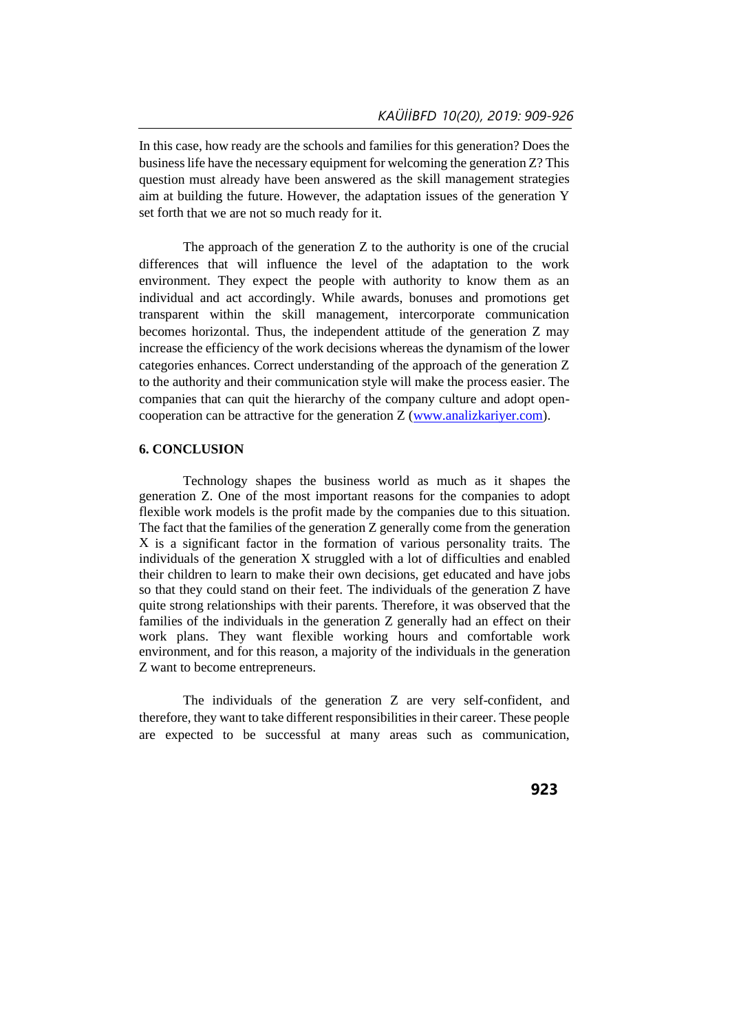In this case, how ready are the schools and families for this generation? Does the business life have the necessary equipment for welcoming the generation Z? This question must already have been answered as the skill management strategies aim at building the future. However, the adaptation issues of the generation Y set forth that we are not so much ready for it.

The approach of the generation Z to the authority is one of the crucial differences that will influence the level of the adaptation to the work environment. They expect the people with authority to know them as an individual and act accordingly. While awards, bonuses and promotions get transparent within the skill management, intercorporate communication becomes horizontal. Thus, the independent attitude of the generation Z may increase the efficiency of the work decisions whereas the dynamism of the lower categories enhances. Correct understanding of the approach of the generation Z to the authority and their communication style will make the process easier. The companies that can quit the hierarchy of the company culture and adopt opencooperation can be attractive for the generation Z [\(www.analizkariyer.com\)](http://www.analizkariyer.com/).

#### **6. CONCLUSION**

Technology shapes the business world as much as it shapes the generation Z. One of the most important reasons for the companies to adopt flexible work models is the profit made by the companies due to this situation. The fact that the families of the generation Z generally come from the generation X is a significant factor in the formation of various personality traits. The individuals of the generation X struggled with a lot of difficulties and enabled their children to learn to make their own decisions, get educated and have jobs so that they could stand on their feet. The individuals of the generation Z have quite strong relationships with their parents. Therefore, it was observed that the families of the individuals in the generation Z generally had an effect on their work plans. They want flexible working hours and comfortable work environment, and for this reason, a majority of the individuals in the generation Z want to become entrepreneurs.

The individuals of the generation Z are very self-confident, and therefore, they want to take different responsibilities in their career. These people are expected to be successful at many areas such as communication,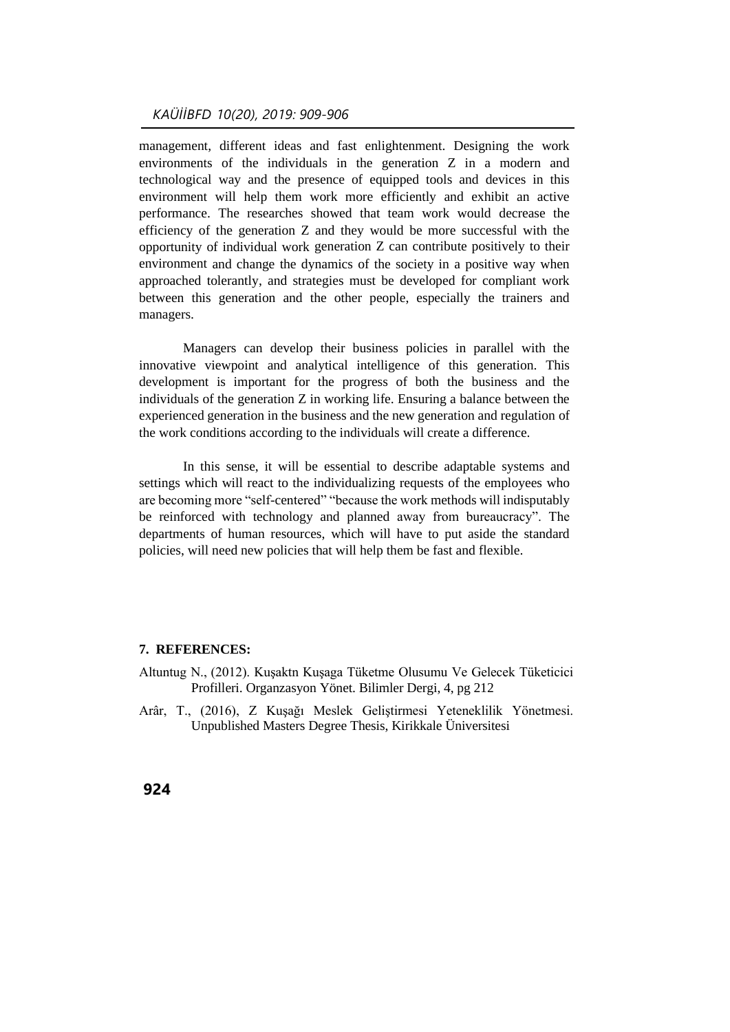## *KAÜİİBFD 10(20), 2019: 909-906*

management, different ideas and fast enlightenment. Designing the work environments of the individuals in the generation Z in a modern and technological way and the presence of equipped tools and devices in this environment will help them work more efficiently and exhibit an active performance. The researches showed that team work would decrease the efficiency of the generation Z and they would be more successful with the opportunity of individual work generation Z can contribute positively to their environment and change the dynamics of the society in a positive way when approached tolerantly, and strategies must be developed for compliant work between this generation and the other people, especially the trainers and managers.

Managers can develop their business policies in parallel with the innovative viewpoint and analytical intelligence of this generation. This development is important for the progress of both the business and the individuals of the generation Z in working life. Ensuring a balance between the experienced generation in the business and the new generation and regulation of the work conditions according to the individuals will create a difference.

In this sense, it will be essential to describe adaptable systems and settings which will react to the individualizing requests of the employees who are becoming more "self-centered" "because the work methods will indisputably be reinforced with technology and planned away from bureaucracy". The departments of human resources, which will have to put aside the standard policies, will need new policies that will help them be fast and flexible.

#### **7. REFERENCES:**

- Altuntug N., (2012). Kuşaktn Kuşaga Tüketme Olusumu Ve Gelecek Tüketicici Profilleri. Organzasyon Yönet. Bilimler Dergi, 4, pg 212
- Arâr, T., (2016), Z Kuşağı Meslek Geliştirmesi Yeteneklilik Yönetmesi. Unpublished Masters Degree Thesis, Kirikkale Üniversitesi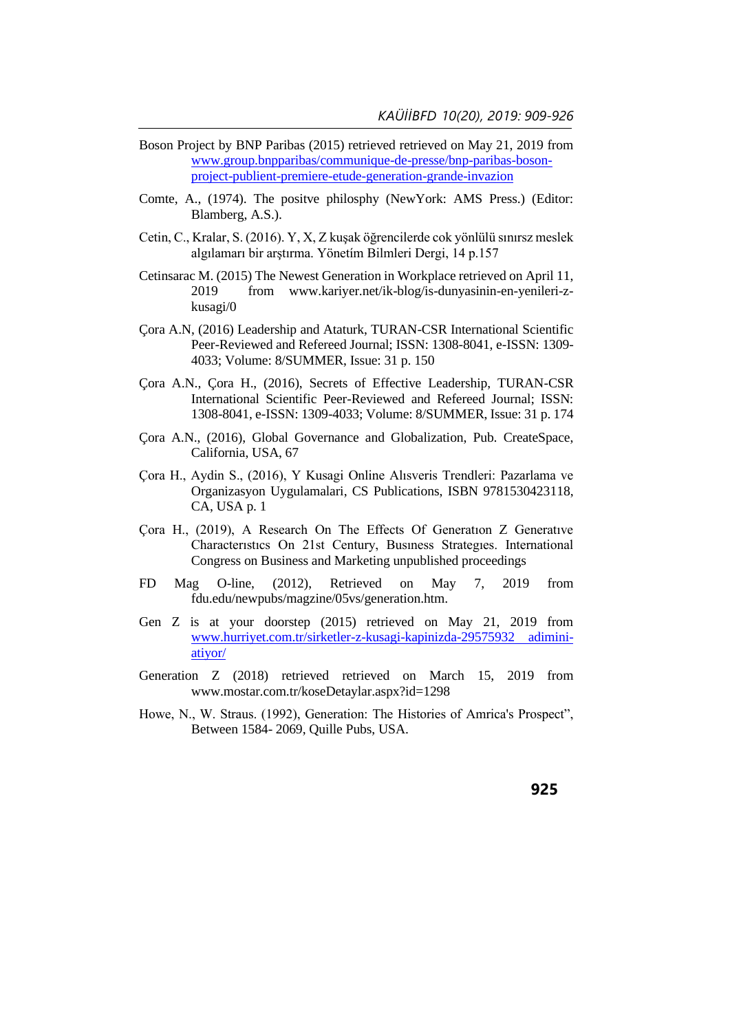- Boson Project by BNP Paribas (2015) retrieved retrieved on May 21, 2019 from [www.group.bnpparibas/communique-de-presse/bnp-paribas-boson](http://www.group.bnpparibas/communique-de-presse/bnp-paribas-boson-project-publient-premiere-etude-generation-grande-invazion)[project-publient-premiere-etude-generation-grande-invazion](http://www.group.bnpparibas/communique-de-presse/bnp-paribas-boson-project-publient-premiere-etude-generation-grande-invazion)
- Comte, A., (1974). The positve philosphy (NewYork: AMS Press.) (Editor: Blamberg, A.S.).
- Cetin, C., Kralar, S. (2016). Y, X, Z kuşak öğrencilerde cok yönlülü sınırsz meslek algılamarı bir arştırma. Yönetím Bilmleri Dergi, 14 p.157
- Cetinsarac M. (2015) The Newest Generation in Workplace retrieved on April 11, 2019 from www.kariyer.net/ik-blog/is-dunyasinin-en-yenileri-zkusagi/0
- Çora A.N, (2016) Leadership and Ataturk, TURAN-CSR International Scientific Peer-Reviewed and Refereed Journal; ISSN: 1308-8041, e-ISSN: 1309- 4033; Volume: 8/SUMMER, Issue: 31 p. 150
- Çora A.N., Çora H., (2016), Secrets of Effective Leadership, TURAN-CSR International Scientific Peer-Reviewed and Refereed Journal; ISSN: 1308-8041, e-ISSN: 1309-4033; Volume: 8/SUMMER, Issue: 31 p. 174
- Çora A.N., (2016), Global Governance and Globalization, Pub. CreateSpace, California, USA, 67
- Çora H., Aydin S., (2016), Y Kusagi Online Alısveris Trendleri: Pazarlama ve Organizasyon Uygulamalari, CS Publications, ISBN 9781530423118, CA, USA p. 1
- Çora H., (2019), A Research On The Effects Of Generatıon Z Generatıve Characterıstıcs On 21st Century, Busıness Strategıes. International Congress on Business and Marketing unpublished proceedings
- FD Mag O-line, (2012), Retrieved on May 7, 2019 from fdu.edu/newpubs/magzine/05vs/generation.htm.
- Gen Z is at your doorstep (2015) retrieved on May 21, 2019 from [www.hurriyet.com.tr/sirketler-z-kusagi-kapinizda-29575932 adimini](http://www.hurriyet.com.tr/sirketler-z-kusagi-kapinizda-29575932%20adimini-atiyor/)[atiyor/](http://www.hurriyet.com.tr/sirketler-z-kusagi-kapinizda-29575932%20adimini-atiyor/)
- Generation Z (2018) retrieved retrieved on March 15, 2019 from www.mostar.com.tr/koseDetaylar.aspx?id=1298
- Howe, N., W. Straus. (1992), Generation: The Histories of Amrica's Prospect", Between 1584- 2069, Quille Pubs, USA.